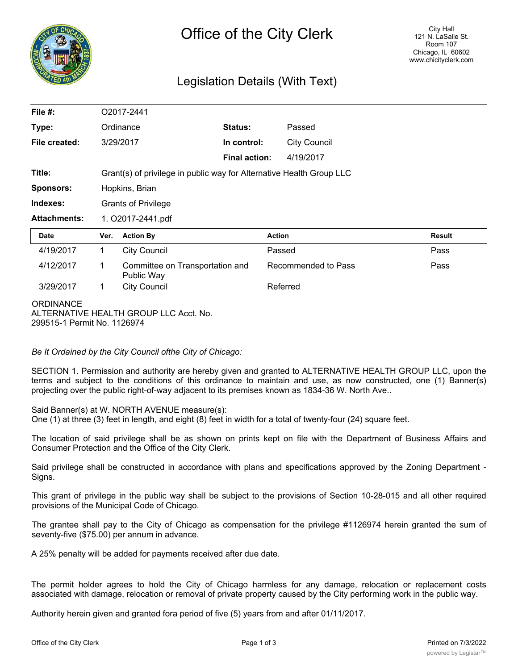

### Legislation Details (With Text)

| File $#$ :                                      | O2017-2441                                                           |                                               |                      |                     |               |
|-------------------------------------------------|----------------------------------------------------------------------|-----------------------------------------------|----------------------|---------------------|---------------|
| Type:                                           |                                                                      | Ordinance                                     | Status:              | Passed              |               |
| File created:                                   |                                                                      | 3/29/2017                                     | In control:          | <b>City Council</b> |               |
|                                                 |                                                                      |                                               | <b>Final action:</b> | 4/19/2017           |               |
| Title:                                          | Grant(s) of privilege in public way for Alternative Health Group LLC |                                               |                      |                     |               |
| <b>Sponsors:</b>                                | Hopkins, Brian                                                       |                                               |                      |                     |               |
| Indexes:                                        | <b>Grants of Privilege</b>                                           |                                               |                      |                     |               |
| <b>Attachments:</b>                             | 1. O2017-2441.pdf                                                    |                                               |                      |                     |               |
| <b>Date</b>                                     | Ver.                                                                 | <b>Action By</b>                              |                      | <b>Action</b>       | <b>Result</b> |
| 4/19/2017                                       | 1.                                                                   | <b>City Council</b>                           |                      | Passed              | Pass          |
| 4/12/2017                                       | 1                                                                    | Committee on Transportation and<br>Public Way |                      | Recommended to Pass | Pass          |
| 3/29/2017                                       | 1                                                                    | <b>City Council</b>                           |                      | Referred            |               |
| <b>ORDINANCE</b><br>299515-1 Permit No. 1126974 |                                                                      | ALTERNATIVE HEALTH GROUP LLC Acct. No.        |                      |                     |               |

*Be It Ordained by the City Council ofthe City of Chicago:*

SECTION 1. Permission and authority are hereby given and granted to ALTERNATIVE HEALTH GROUP LLC, upon the terms and subject to the conditions of this ordinance to maintain and use, as now constructed, one (1) Banner(s) projecting over the public right-of-way adjacent to its premises known as 1834-36 W. North Ave..

Said Banner(s) at W. NORTH AVENUE measure(s):

One (1) at three (3) feet in length, and eight (8) feet in width for a total of twenty-four (24) square feet.

The location of said privilege shall be as shown on prints kept on file with the Department of Business Affairs and Consumer Protection and the Office of the City Clerk.

Said privilege shall be constructed in accordance with plans and specifications approved by the Zoning Department - Signs.

This grant of privilege in the public way shall be subject to the provisions of Section 10-28-015 and all other required provisions of the Municipal Code of Chicago.

The grantee shall pay to the City of Chicago as compensation for the privilege #1126974 herein granted the sum of seventy-five (\$75.00) per annum in advance.

A 25% penalty will be added for payments received after due date.

The permit holder agrees to hold the City of Chicago harmless for any damage, relocation or replacement costs associated with damage, relocation or removal of private property caused by the City performing work in the public way.

Authority herein given and granted fora period of five (5) years from and after 01/11/2017.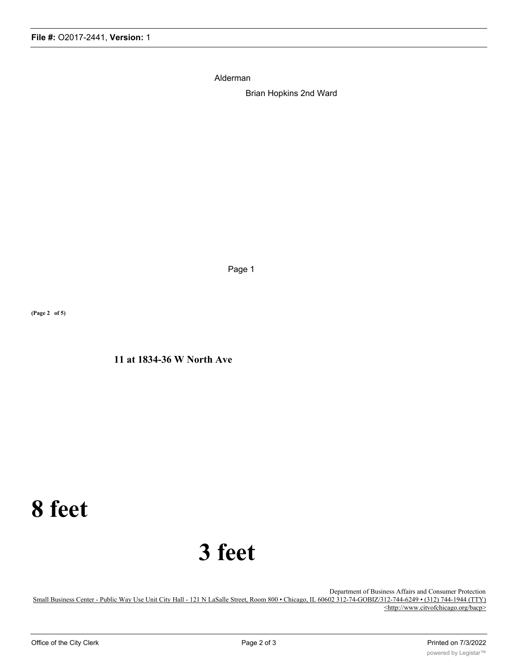Alderman

Brian Hopkins 2nd Ward

Page 1

**(Page 2 of 5)**

**11 at 1834-36 W North Ave**

## **8 feet**

# **3 feet**

Department of Business Affairs and Consumer Protection

Small Business Center - Public Way Use Unit City Hall - 121 N LaSalle Street, Room 800 • Chicago, IL 60602 312-74-GOBIZ/312-744-6249 • (312) 744-1944 (TTY) <http://www.citvofchicago.org/bacp>